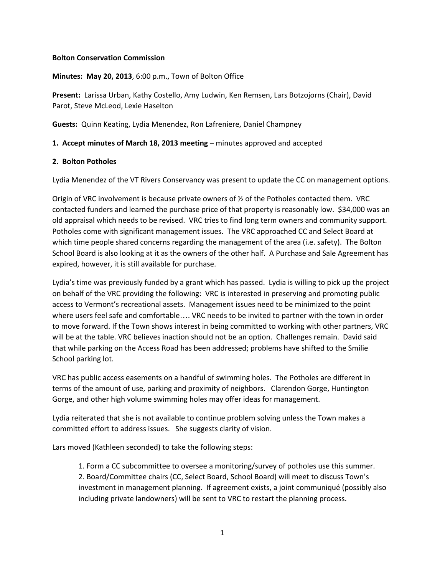## **Bolton Conservation Commission**

**Minutes: May 20, 2013**, 6:00 p.m., Town of Bolton Office

**Present:** Larissa Urban, Kathy Costello, Amy Ludwin, Ken Remsen, Lars Botzojorns (Chair), David Parot, Steve McLeod, Lexie Haselton

**Guests:** Quinn Keating, Lydia Menendez, Ron Lafreniere, Daniel Champney

### **1. Accept minutes of March 18, 2013 meeting** – minutes approved and accepted

#### **2. Bolton Potholes**

Lydia Menendez of the VT Rivers Conservancy was present to update the CC on management options.

Origin of VRC involvement is because private owners of  $\frac{1}{2}$  of the Potholes contacted them. VRC contacted funders and learned the purchase price of that property is reasonably low. \$34,000 was an old appraisal which needs to be revised. VRC tries to find long term owners and community support. Potholes come with significant management issues. The VRC approached CC and Select Board at which time people shared concerns regarding the management of the area (i.e. safety). The Bolton School Board is also looking at it as the owners of the other half. A Purchase and Sale Agreement has expired, however, it is still available for purchase.

Lydia's time was previously funded by a grant which has passed. Lydia is willing to pick up the project on behalf of the VRC providing the following: VRC is interested in preserving and promoting public access to Vermont's recreational assets. Management issues need to be minimized to the point where users feel safe and comfortable…. VRC needs to be invited to partner with the town in order to move forward. If the Town shows interest in being committed to working with other partners, VRC will be at the table. VRC believes inaction should not be an option. Challenges remain. David said that while parking on the Access Road has been addressed; problems have shifted to the Smilie School parking lot.

VRC has public access easements on a handful of swimming holes. The Potholes are different in terms of the amount of use, parking and proximity of neighbors. Clarendon Gorge, Huntington Gorge, and other high volume swimming holes may offer ideas for management.

Lydia reiterated that she is not available to continue problem solving unless the Town makes a committed effort to address issues. She suggests clarity of vision.

Lars moved (Kathleen seconded) to take the following steps:

1. Form a CC subcommittee to oversee a monitoring/survey of potholes use this summer. 2. Board/Committee chairs (CC, Select Board, School Board) will meet to discuss Town's investment in management planning. If agreement exists, a joint communiqué (possibly also including private landowners) will be sent to VRC to restart the planning process.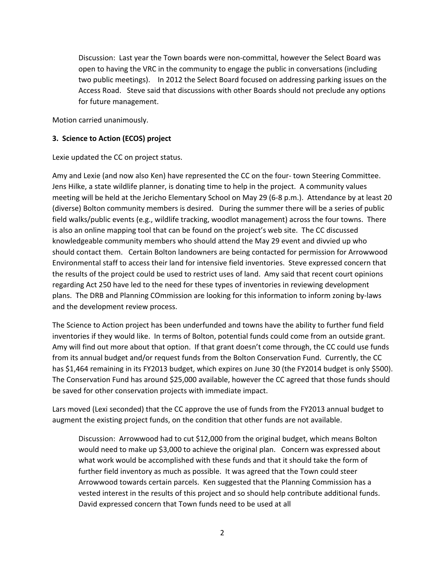Discussion: Last year the Town boards were non-committal, however the Select Board was open to having the VRC in the community to engage the public in conversations (including two public meetings). In 2012 the Select Board focused on addressing parking issues on the Access Road. Steve said that discussions with other Boards should not preclude any options for future management.

Motion carried unanimously.

## **3. Science to Action (ECOS) project**

Lexie updated the CC on project status.

Amy and Lexie (and now also Ken) have represented the CC on the four- town Steering Committee. Jens Hilke, a state wildlife planner, is donating time to help in the project. A community values meeting will be held at the Jericho Elementary School on May 29 (6-8 p.m.). Attendance by at least 20 (diverse) Bolton community members is desired. During the summer there will be a series of public field walks/public events (e.g., wildlife tracking, woodlot management) across the four towns. There is also an online mapping tool that can be found on the project's web site. The CC discussed knowledgeable community members who should attend the May 29 event and divvied up who should contact them. Certain Bolton landowners are being contacted for permission for Arrowwood Environmental staff to access their land for intensive field inventories. Steve expressed concern that the results of the project could be used to restrict uses of land. Amy said that recent court opinions regarding Act 250 have led to the need for these types of inventories in reviewing development plans. The DRB and Planning COmmission are looking for this information to inform zoning by-laws and the development review process.

The Science to Action project has been underfunded and towns have the ability to further fund field inventories if they would like. In terms of Bolton, potential funds could come from an outside grant. Amy will find out more about that option. If that grant doesn't come through, the CC could use funds from its annual budget and/or request funds from the Bolton Conservation Fund. Currently, the CC has \$1,464 remaining in its FY2013 budget, which expires on June 30 (the FY2014 budget is only \$500). The Conservation Fund has around \$25,000 available, however the CC agreed that those funds should be saved for other conservation projects with immediate impact.

Lars moved (Lexi seconded) that the CC approve the use of funds from the FY2013 annual budget to augment the existing project funds, on the condition that other funds are not available.

Discussion: Arrowwood had to cut \$12,000 from the original budget, which means Bolton would need to make up \$3,000 to achieve the original plan. Concern was expressed about what work would be accomplished with these funds and that it should take the form of further field inventory as much as possible. It was agreed that the Town could steer Arrowwood towards certain parcels. Ken suggested that the Planning Commission has a vested interest in the results of this project and so should help contribute additional funds. David expressed concern that Town funds need to be used at all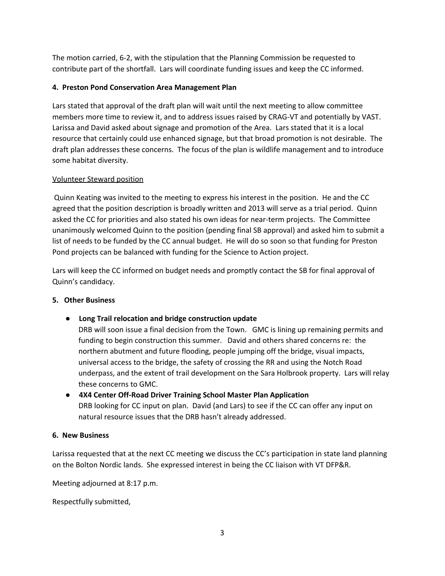The motion carried, 6-2, with the stipulation that the Planning Commission be requested to contribute part of the shortfall. Lars will coordinate funding issues and keep the CC informed.

## **4. Preston Pond Conservation Area Management Plan**

Lars stated that approval of the draft plan will wait until the next meeting to allow committee members more time to review it, and to address issues raised by CRAG-VT and potentially by VAST. Larissa and David asked about signage and promotion of the Area. Lars stated that it is a local resource that certainly could use enhanced signage, but that broad promotion is not desirable. The draft plan addresses these concerns. The focus of the plan is wildlife management and to introduce some habitat diversity.

# Volunteer Steward position

Quinn Keating was invited to the meeting to express his interest in the position. He and the CC agreed that the position description is broadly written and 2013 will serve as a trial period. Quinn asked the CC for priorities and also stated his own ideas for near-term projects. The Committee unanimously welcomed Quinn to the position (pending final SB approval) and asked him to submit a list of needs to be funded by the CC annual budget. He will do so soon so that funding for Preston Pond projects can be balanced with funding for the Science to Action project.

Lars will keep the CC informed on budget needs and promptly contact the SB for final approval of Quinn's candidacy.

## **5. Other Business**

● **Long Trail relocation and bridge construction update**

DRB will soon issue a final decision from the Town. GMC is lining up remaining permits and funding to begin construction this summer. David and others shared concerns re: the northern abutment and future flooding, people jumping off the bridge, visual impacts, universal access to the bridge, the safety of crossing the RR and using the Notch Road underpass, and the extent of trail development on the Sara Holbrook property. Lars will relay these concerns to GMC.

**● 4X4 Center Off-Road Driver Training School Master Plan Application** DRB looking for CC input on plan. David (and Lars) to see if the CC can offer any input on natural resource issues that the DRB hasn't already addressed.

## **6. New Business**

Larissa requested that at the next CC meeting we discuss the CC's participation in state land planning on the Bolton Nordic lands. She expressed interest in being the CC liaison with VT DFP&R.

Meeting adjourned at 8:17 p.m.

Respectfully submitted,